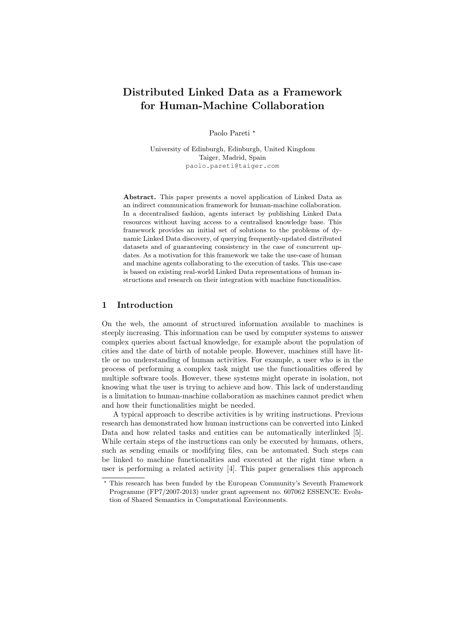# Distributed Linked Data as a Framework for Human-Machine Collaboration

Paolo Pareti<sup>\*</sup>

University of Edinburgh, Edinburgh, United Kingdom Taiger, Madrid, Spain paolo.pareti@taiger.com

Abstract. This paper presents a novel application of Linked Data as an indirect communication framework for human-machine collaboration. In a decentralised fashion, agents interact by publishing Linked Data resources without having access to a centralised knowledge base. This framework provides an initial set of solutions to the problems of dynamic Linked Data discovery, of querying frequently-updated distributed datasets and of guaranteeing consistency in the case of concurrent updates. As a motivation for this framework we take the use-case of human and machine agents collaborating to the execution of tasks. This use-case is based on existing real-world Linked Data representations of human instructions and research on their integration with machine functionalities.

### 1 Introduction

On the web, the amount of structured information available to machines is steeply increasing. This information can be used by computer systems to answer complex queries about factual knowledge, for example about the population of cities and the date of birth of notable people. However, machines still have little or no understanding of human activities. For example, a user who is in the process of performing a complex task might use the functionalities offered by multiple software tools. However, these systems might operate in isolation, not knowing what the user is trying to achieve and how. This lack of understanding is a limitation to human-machine collaboration as machines cannot predict when and how their functionalities might be needed.

A typical approach to describe activities is by writing instructions. Previous research has demonstrated how human instructions can be converted into Linked Data and how related tasks and entities can be automatically interlinked [5]. While certain steps of the instructions can only be executed by humans, others, such as sending emails or modifying files, can be automated. Such steps can be linked to machine functionalities and executed at the right time when a user is performing a related activity [4]. This paper generalises this approach

<sup>?</sup> This research has been funded by the European Community's Seventh Framework Programme (FP7/2007-2013) under grant agreement no. 607062 ESSENCE: Evolution of Shared Semantics in Computational Environments.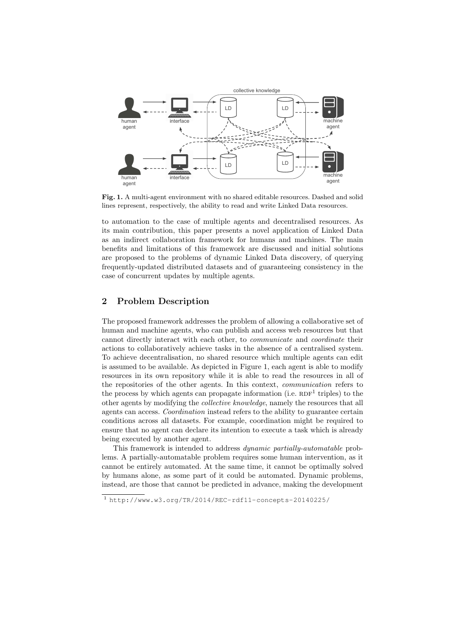

Fig. 1. A multi-agent environment with no shared editable resources. Dashed and solid lines represent, respectively, the ability to read and write Linked Data resources.

to automation to the case of multiple agents and decentralised resources. As its main contribution, this paper presents a novel application of Linked Data as an indirect collaboration framework for humans and machines. The main benefits and limitations of this framework are discussed and initial solutions are proposed to the problems of dynamic Linked Data discovery, of querying frequently-updated distributed datasets and of guaranteeing consistency in the case of concurrent updates by multiple agents.

## 2 Problem Description

The proposed framework addresses the problem of allowing a collaborative set of human and machine agents, who can publish and access web resources but that cannot directly interact with each other, to communicate and coordinate their actions to collaboratively achieve tasks in the absence of a centralised system. To achieve decentralisation, no shared resource which multiple agents can edit is assumed to be available. As depicted in Figure 1, each agent is able to modify resources in its own repository while it is able to read the resources in all of the repositories of the other agents. In this context, communication refers to the process by which agents can propagate information (i.e.  $RDF<sup>1</sup>$  triples) to the other agents by modifying the collective knowledge, namely the resources that all agents can access. Coordination instead refers to the ability to guarantee certain conditions across all datasets. For example, coordination might be required to ensure that no agent can declare its intention to execute a task which is already being executed by another agent.

This framework is intended to address dynamic partially-automatable problems. A partially-automatable problem requires some human intervention, as it cannot be entirely automated. At the same time, it cannot be optimally solved by humans alone, as some part of it could be automated. Dynamic problems, instead, are those that cannot be predicted in advance, making the development

<sup>1</sup> http://www.w3.org/TR/2014/REC-rdf11-concepts-20140225/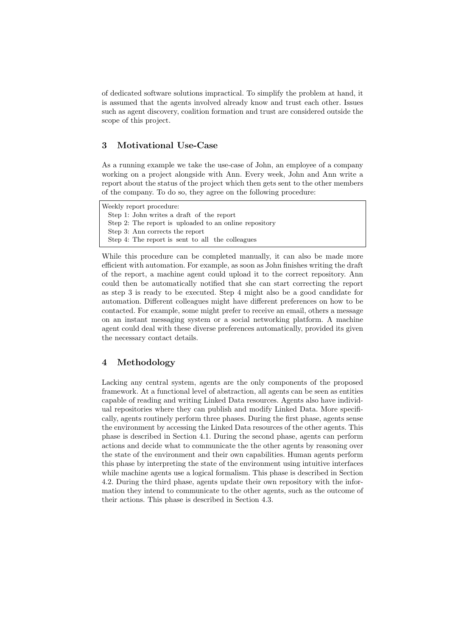of dedicated software solutions impractical. To simplify the problem at hand, it is assumed that the agents involved already know and trust each other. Issues such as agent discovery, coalition formation and trust are considered outside the scope of this project.

## 3 Motivational Use-Case

As a running example we take the use-case of John, an employee of a company working on a project alongside with Ann. Every week, John and Ann write a report about the status of the project which then gets sent to the other members of the company. To do so, they agree on the following procedure:

Weekly report procedure: Step 1: John writes a draft of the report Step 2: The report is uploaded to an online repository Step 3: Ann corrects the report Step 4: The report is sent to all the colleagues

While this procedure can be completed manually, it can also be made more efficient with automation. For example, as soon as John finishes writing the draft of the report, a machine agent could upload it to the correct repository. Ann could then be automatically notified that she can start correcting the report as step 3 is ready to be executed. Step 4 might also be a good candidate for automation. Different colleagues might have different preferences on how to be contacted. For example, some might prefer to receive an email, others a message on an instant messaging system or a social networking platform. A machine agent could deal with these diverse preferences automatically, provided its given the necessary contact details.

## 4 Methodology

Lacking any central system, agents are the only components of the proposed framework. At a functional level of abstraction, all agents can be seen as entities capable of reading and writing Linked Data resources. Agents also have individual repositories where they can publish and modify Linked Data. More specifically, agents routinely perform three phases. During the first phase, agents sense the environment by accessing the Linked Data resources of the other agents. This phase is described in Section 4.1. During the second phase, agents can perform actions and decide what to communicate the the other agents by reasoning over the state of the environment and their own capabilities. Human agents perform this phase by interpreting the state of the environment using intuitive interfaces while machine agents use a logical formalism. This phase is described in Section 4.2. During the third phase, agents update their own repository with the information they intend to communicate to the other agents, such as the outcome of their actions. This phase is described in Section 4.3.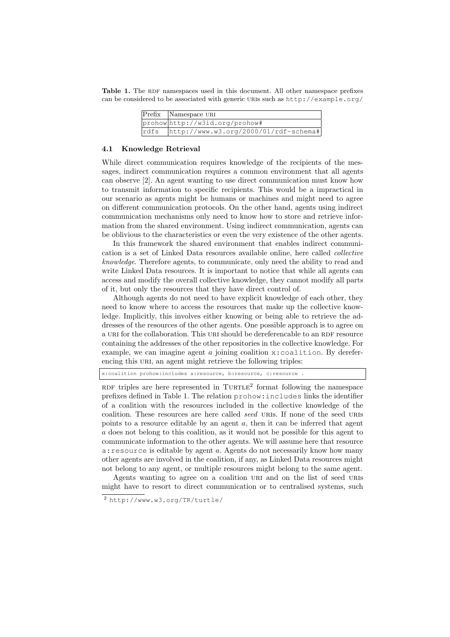Table 1. The RDF namespaces used in this document. All other namespace prefixes can be considered to be associated with generic uris such as http://example.org/

|  | $\left  \overline{\text{Prefix}} \right $ Namespace URI |
|--|---------------------------------------------------------|
|  | prohow http://w3id.org/prohow#                          |
|  | rdfs http://www.w3.org/2000/01/rdf-schema#              |

#### 4.1 Knowledge Retrieval

While direct communication requires knowledge of the recipients of the messages, indirect communication requires a common environment that all agents can observe [2]. An agent wanting to use direct communication must know how to transmit information to specific recipients. This would be a impractical in our scenario as agents might be humans or machines and might need to agree on different communication protocols. On the other hand, agents using indirect communication mechanisms only need to know how to store and retrieve information from the shared environment. Using indirect communication, agents can be oblivious to the characteristics or even the very existence of the other agents.

In this framework the shared environment that enables indirect communication is a set of Linked Data resources available online, here called collective knowledge. Therefore agents, to communicate, only need the ability to read and write Linked Data resources. It is important to notice that while all agents can access and modify the overall collective knowledge, they cannot modify all parts of it, but only the resources that they have direct control of.

Although agents do not need to have explicit knowledge of each other, they need to know where to access the resources that make up the collective knowledge. Implicitly, this involves either knowing or being able to retrieve the addresses of the resources of the other agents. One possible approach is to agree on a URI for the collaboration. This URI should be dereferencable to an RDF resource containing the addresses of the other repositories in the collective knowledge. For example, we can imagine agent  $\alpha$  joining coalition x: coalition. By dereferencing this URI, an agent might retrieve the following triples:

x:coalition prohow:includes a:resource, b:resource, c:resource .

RDF triples are here represented in  $\text{TURTLE}^2$  format following the namespace prefixes defined in Table 1. The relation prohow:includes links the identifier of a coalition with the resources included in the collective knowledge of the coalition. These resources are here called seed URIS. If none of the seed URIS points to a resource editable by an agent a, then it can be inferred that agent a does not belong to this coalition, as it would not be possible for this agent to communicate information to the other agents. We will assume here that resource a:resource is editable by agent a. Agents do not necessarily know how many other agents are involved in the coalition, if any, as Linked Data resources might not belong to any agent, or multiple resources might belong to the same agent.

Agents wanting to agree on a coalition URI and on the list of seed URIS might have to resort to direct communication or to centralised systems, such

<sup>2</sup> http://www.w3.org/TR/turtle/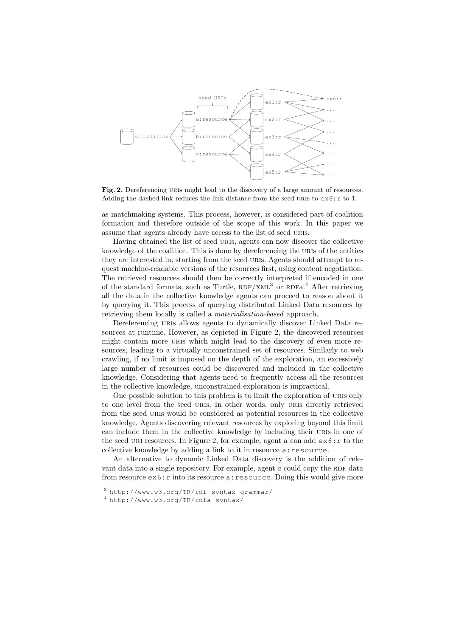

Fig. 2. Dereferencing URIS might lead to the discovery of a large amount of resources. Adding the dashed link reduces the link distance from the seed URIs to  $\exp(-\frac{1}{2}$  to 1.

as matchmaking systems. This process, however, is considered part of coalition formation and therefore outside of the scope of this work. In this paper we assume that agents already have access to the list of seed URIS.

Having obtained the list of seed uris, agents can now discover the collective knowledge of the coalition. This is done by dereferencing the uris of the entities they are interested in, starting from the seed URIS. Agents should attempt to request machine-readable versions of the resources first, using content negotiation. The retrieved resources should then be correctly interpreted if encoded in one of the standard formats, such as Turtle,  $RDF/XML^3$  or  $RDFa$ <sup>4</sup>. After retrieving all the data in the collective knowledge agents can proceed to reason about it by querying it. This process of querying distributed Linked Data resources by retrieving them locally is called a materialisation-based approach.

Dereferencing URIs allows agents to dynamically discover Linked Data resources at runtime. However, as depicted in Figure 2, the discovered resources might contain more URIs which might lead to the discovery of even more resources, leading to a virtually unconstrained set of resources. Similarly to web crawling, if no limit is imposed on the depth of the exploration, an excessively large number of resources could be discovered and included in the collective knowledge. Considering that agents need to frequently access all the resources in the collective knowledge, unconstrained exploration is impractical.

One possible solution to this problem is to limit the exploration of URIS only to one level from the seed uris. In other words, only uris directly retrieved from the seed uris would be considered as potential resources in the collective knowledge. Agents discovering relevant resources by exploring beyond this limit can include them in the collective knowledge by including their uris in one of the seed URI resources. In Figure 2, for example, agent  $a$  can add  $ex6:r$  to the collective knowledge by adding a link to it in resource a: resource.

An alternative to dynamic Linked Data discovery is the addition of relevant data into a single repository. For example, agent  $a$  could copy the RDF data from resource  $ex6$ : r into its resource a: resource. Doing this would give more

<sup>3</sup> http://www.w3.org/TR/rdf-syntax-grammar/

<sup>4</sup> http://www.w3.org/TR/rdfa-syntax/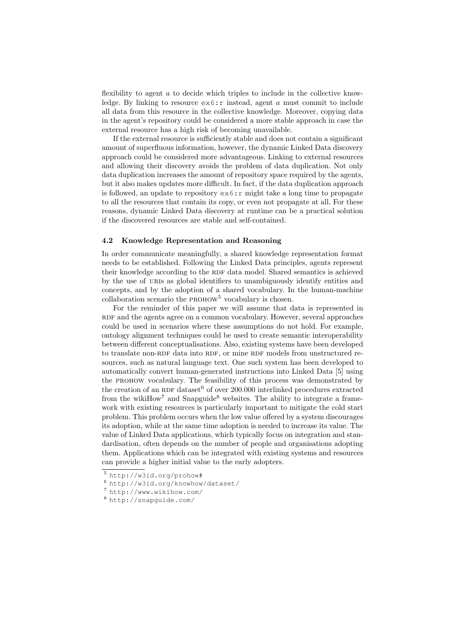flexibility to agent a to decide which triples to include in the collective knowledge. By linking to resource  $ex6:r$  instead, agent a must commit to include all data from this resource in the collective knowledge. Moreover, copying data in the agent's repository could be considered a more stable approach in case the external resource has a high risk of becoming unavailable.

If the external resource is sufficiently stable and does not contain a significant amount of superfluous information, however, the dynamic Linked Data discovery approach could be considered more advantageous. Linking to external resources and allowing their discovery avoids the problem of data duplication. Not only data duplication increases the amount of repository space required by the agents, but it also makes updates more difficult. In fact, if the data duplication approach is followed, an update to repository  $\epsilon \times 6$ : r might take a long time to propagate to all the resources that contain its copy, or even not propagate at all. For these reasons, dynamic Linked Data discovery at runtime can be a practical solution if the discovered resources are stable and self-contained.

#### 4.2 Knowledge Representation and Reasoning

In order communicate meaningfully, a shared knowledge representation format needs to be established. Following the Linked Data principles, agents represent their knowledge according to the RDF data model. Shared semantics is achieved by the use of uris as global identifiers to unambiguously identify entities and concepts, and by the adoption of a shared vocabulary. In the human-machine collaboration scenario the  $PROHOW<sup>5</sup>$  vocabulary is chosen.

For the reminder of this paper we will assume that data is represented in RDF and the agents agree on a common vocabulary. However, several approaches could be used in scenarios where these assumptions do not hold. For example, ontology alignment techniques could be used to create semantic interoperability between different conceptualisations. Also, existing systems have been developed to translate non-RDF data into RDF, or mine RDF models from unstructured resources, such as natural language text. One such system has been developed to automatically convert human-generated instructions into Linked Data [5] using the PROHOW vocabulary. The feasibility of this process was demonstrated by the creation of an RDF dataset<sup>6</sup> of over 200.000 interlinked procedures extracted from the wikiHow<sup>7</sup> and Snapguide<sup>8</sup> websites. The ability to integrate a framework with existing resources is particularly important to mitigate the cold start problem. This problem occurs when the low value offered by a system discourages its adoption, while at the same time adoption is needed to increase its value. The value of Linked Data applications, which typically focus on integration and standardisation, often depends on the number of people and organisations adopting them. Applications which can be integrated with existing systems and resources can provide a higher initial value to the early adopters.

<sup>5</sup> http://w3id.org/prohow#

<sup>6</sup> http://w3id.org/knowhow/dataset/

<sup>7</sup> http://www.wikihow.com/

<sup>8</sup> http://snapguide.com/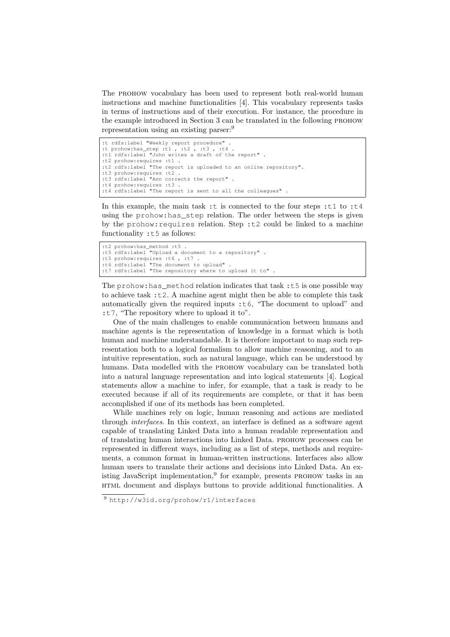The PROHOW vocabulary has been used to represent both real-world human instructions and machine functionalities [4]. This vocabulary represents tasks in terms of instructions and of their execution. For instance, the procedure in the example introduced in Section 3 can be translated in the following PROHOW representation using an existing parser:<sup>9</sup>

```
:t rdfs:label "Weekly report procedure" .
:t prohow:has_step :t1, :t2, :t3, :t4
:t1 rdfs:label "John writes a draft of the report" .
:t2 prohow:requires :t1 .
:t2 rdfs:label "The report is uploaded to an online repository".
:t3 prohow:requires :t2 .
:t3 rdfs:label "Ann corrects the report" .
:t4 prohow:requires :t3 .
:t4 rdfs:label "The report is sent to all the colleagues" .
```
In this example, the main task :t is connected to the four steps :t1 to :t4 using the prohow:has\_step relation. The order between the steps is given by the prohow: requires relation. Step : t2 could be linked to a machine functionality :t5 as follows:

```
:t2 prohow:has_method :t5 .
:t5 rdfs:label "Upload a document to a repository" .
:t5 prohow: requires :t6, :t7
:t6 rdfs:label "The document to upload" .
:t7 rdfs:label "The repository where to upload it to" .
```
The prohow:has\_method relation indicates that task :t5 is one possible way to achieve task  $:t2$ . A machine agent might then be able to complete this task automatically given the required inputs  $:t6$ , "The document to upload" and :t7, "The repository where to upload it to".

One of the main challenges to enable communication between humans and machine agents is the representation of knowledge in a format which is both human and machine understandable. It is therefore important to map such representation both to a logical formalism to allow machine reasoning, and to an intuitive representation, such as natural language, which can be understood by humans. Data modelled with the PROHOW vocabulary can be translated both into a natural language representation and into logical statements [4]. Logical statements allow a machine to infer, for example, that a task is ready to be executed because if all of its requirements are complete, or that it has been accomplished if one of its methods has been completed.

While machines rely on logic, human reasoning and actions are mediated through interfaces. In this context, an interface is defined as a software agent capable of translating Linked Data into a human readable representation and of translating human interactions into Linked Data. prohow processes can be represented in different ways, including as a list of steps, methods and requirements, a common format in human-written instructions. Interfaces also allow human users to translate their actions and decisions into Linked Data. An existing JavaScript implementation,<sup>9</sup> for example, presents PROHOW tasks in an html document and displays buttons to provide additional functionalities. A

<sup>9</sup> http://w3id.org/prohow/r1/interfaces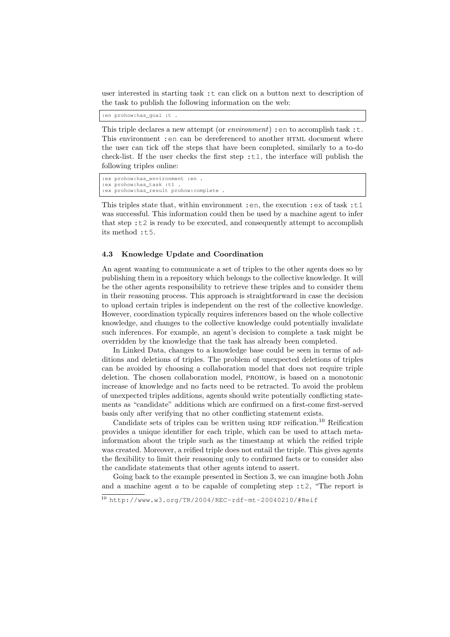user interested in starting task :t can click on a button next to description of the task to publish the following information on the web:

:en prohow:has\_goal :t .

This triple declares a new attempt (or *environment*) : en to accomplish task : t. This environment : en can be dereferenced to another HTML document where the user can tick off the steps that have been completed, similarly to a to-do check-list. If the user checks the first step  $:t1$ , the interface will publish the following triples online:

```
:ex prohow:has_environment :en .
:ex prohow:has_task :t1 .
:ex prohow:has_result prohow:complete .
```
This triples state that, within environment : en, the execution : ex of task :  $t1$ was successful. This information could then be used by a machine agent to infer that step  $\pm 2$  is ready to be executed, and consequently attempt to accomplish its method  $: t.5$ .

#### 4.3 Knowledge Update and Coordination

An agent wanting to communicate a set of triples to the other agents does so by publishing them in a repository which belongs to the collective knowledge. It will be the other agents responsibility to retrieve these triples and to consider them in their reasoning process. This approach is straightforward in case the decision to upload certain triples is independent on the rest of the collective knowledge. However, coordination typically requires inferences based on the whole collective knowledge, and changes to the collective knowledge could potentially invalidate such inferences. For example, an agent's decision to complete a task might be overridden by the knowledge that the task has already been completed.

In Linked Data, changes to a knowledge base could be seen in terms of additions and deletions of triples. The problem of unexpected deletions of triples can be avoided by choosing a collaboration model that does not require triple deletion. The chosen collaboration model, prohow, is based on a monotonic increase of knowledge and no facts need to be retracted. To avoid the problem of unexpected triples additions, agents should write potentially conflicting statements as "candidate" additions which are confirmed on a first-come first-served basis only after verifying that no other conflicting statement exists.

Candidate sets of triples can be written using RDF reification.<sup>10</sup> Reification provides a unique identifier for each triple, which can be used to attach metainformation about the triple such as the timestamp at which the reified triple was created. Moreover, a reified triple does not entail the triple. This gives agents the flexibility to limit their reasoning only to confirmed facts or to consider also the candidate statements that other agents intend to assert.

Going back to the example presented in Section 3, we can imagine both John and a machine agent a to be capable of completing step :t2, "The report is

<sup>10</sup> http://www.w3.org/TR/2004/REC-rdf-mt-20040210/#Reif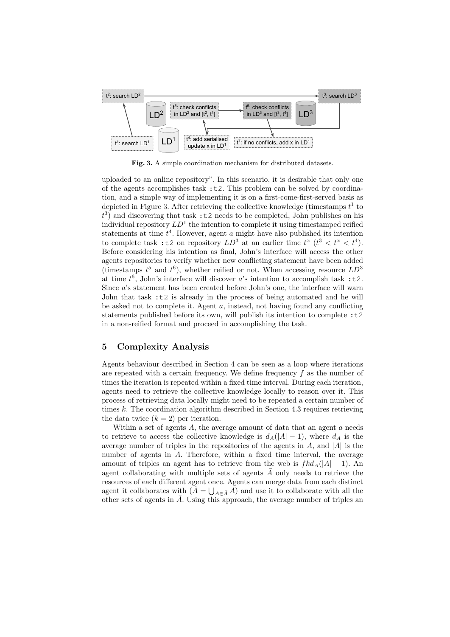

Fig. 3. A simple coordination mechanism for distributed datasets.

uploaded to an online repository". In this scenario, it is desirable that only one of the agents accomplishes task :t2. This problem can be solved by coordination, and a simple way of implementing it is on a first-come-first-served basis as depicted in Figure 3. After retrieving the collective knowledge (timestamps  $t^1$  to  $t^3$ ) and discovering that task :t2 needs to be completed, John publishes on his individual repository  $LD^1$  the intention to complete it using timestamped reified statements at time  $t^4$ . However, agent a might have also published its intention to complete task :t2 on repository  $LD^3$  at an earlier time  $t^x$   $(t^3 < t^x < t^4)$ . Before considering his intention as final, John's interface will access the other agents repositories to verify whether new conflicting statement have been added (timestamps  $t^5$  and  $t^6$ ), whether reified or not. When accessing resource  $LD^3$ at time  $t^6$ , John's interface will discover a's intention to accomplish task :t2. Since a's statement has been created before John's one, the interface will warn John that task :t2 is already in the process of being automated and he will be asked not to complete it. Agent  $a$ , instead, not having found any conflicting statements published before its own, will publish its intention to complete :t2 in a non-reified format and proceed in accomplishing the task.

## 5 Complexity Analysis

Agents behaviour described in Section 4 can be seen as a loop where iterations are repeated with a certain frequency. We define frequency  $f$  as the number of times the iteration is repeated within a fixed time interval. During each iteration, agents need to retrieve the collective knowledge locally to reason over it. This process of retrieving data locally might need to be repeated a certain number of times k. The coordination algorithm described in Section 4.3 requires retrieving the data twice  $(k = 2)$  per iteration.

Within a set of agents  $A$ , the average amount of data that an agent  $a$  needs to retrieve to access the collective knowledge is  $d_A(|A| - 1)$ , where  $d_A$  is the average number of triples in the repositories of the agents in  $A$ , and  $|A|$  is the number of agents in A. Therefore, within a fixed time interval, the average amount of triples an agent has to retrieve from the web is  $f k d_A(|A| - 1)$ . An agent collaborating with multiple sets of agents  $A$  only needs to retrieve the resources of each different agent once. Agents can merge data from each distinct agent it collaborates with  $(A = \bigcup_{A \in \bar{A}} A)$  and use it to collaborate with all the other sets of agents in  $\overline{A}$ . Using this approach, the average number of triples an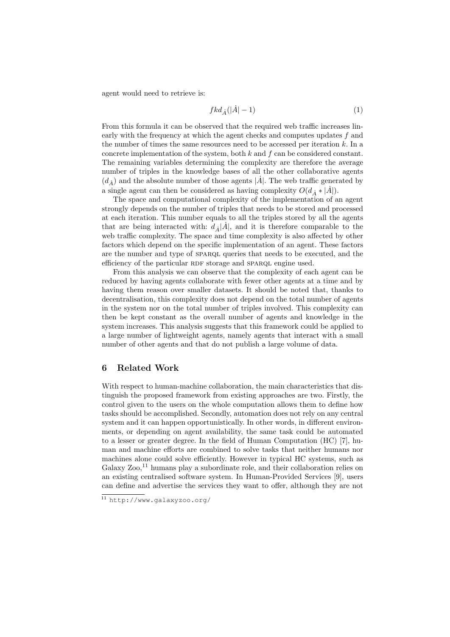agent would need to retrieve is:

$$
fkd_{\dot{A}}(|\dot{A}|-1) \tag{1}
$$

From this formula it can be observed that the required web traffic increases linearly with the frequency at which the agent checks and computes updates  $f$  and the number of times the same resources need to be accessed per iteration  $k$ . In a concrete implementation of the system, both  $k$  and  $f$  can be considered constant. The remaining variables determining the complexity are therefore the average number of triples in the knowledge bases of all the other collaborative agents  $(d_{\dot{A}})$  and the absolute number of those agents  $|\dot{A}|.$  The web traffic generated by a single agent can then be considered as having complexity  $O(d_A * |\dot{A}|)$ .

The space and computational complexity of the implementation of an agent strongly depends on the number of triples that needs to be stored and processed at each iteration. This number equals to all the triples stored by all the agents that are being interacted with:  $d_{\vec{A}}|\vec{A}|$ , and it is therefore comparable to the web traffic complexity. The space and time complexity is also affected by other factors which depend on the specific implementation of an agent. These factors are the number and type of SPARQL queries that needs to be executed, and the efficiency of the particular RDF storage and SPARQL engine used.

From this analysis we can observe that the complexity of each agent can be reduced by having agents collaborate with fewer other agents at a time and by having them reason over smaller datasets. It should be noted that, thanks to decentralisation, this complexity does not depend on the total number of agents in the system nor on the total number of triples involved. This complexity can then be kept constant as the overall number of agents and knowledge in the system increases. This analysis suggests that this framework could be applied to a large number of lightweight agents, namely agents that interact with a small number of other agents and that do not publish a large volume of data.

## 6 Related Work

With respect to human-machine collaboration, the main characteristics that distinguish the proposed framework from existing approaches are two. Firstly, the control given to the users on the whole computation allows them to define how tasks should be accomplished. Secondly, automation does not rely on any central system and it can happen opportunistically. In other words, in different environments, or depending on agent availability, the same task could be automated to a lesser or greater degree. In the field of Human Computation (HC) [7], human and machine efforts are combined to solve tasks that neither humans nor machines alone could solve efficiently. However in typical HC systems, such as Galaxy  $\chi_{\text{OO}}$ ,<sup>11</sup> humans play a subordinate role, and their collaboration relies on an existing centralised software system. In Human-Provided Services [9], users can define and advertise the services they want to offer, although they are not

<sup>11</sup> http://www.galaxyzoo.org/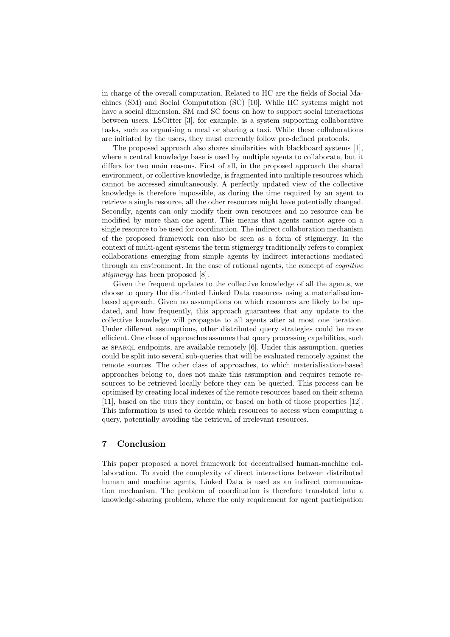in charge of the overall computation. Related to HC are the fields of Social Machines (SM) and Social Computation (SC) [10]. While HC systems might not have a social dimension, SM and SC focus on how to support social interactions between users. LSCitter [3], for example, is a system supporting collaborative tasks, such as organising a meal or sharing a taxi. While these collaborations are initiated by the users, they must currently follow pre-defined protocols.

The proposed approach also shares similarities with blackboard systems [1], where a central knowledge base is used by multiple agents to collaborate, but it differs for two main reasons. First of all, in the proposed approach the shared environment, or collective knowledge, is fragmented into multiple resources which cannot be accessed simultaneously. A perfectly updated view of the collective knowledge is therefore impossible, as during the time required by an agent to retrieve a single resource, all the other resources might have potentially changed. Secondly, agents can only modify their own resources and no resource can be modified by more than one agent. This means that agents cannot agree on a single resource to be used for coordination. The indirect collaboration mechanism of the proposed framework can also be seen as a form of stigmergy. In the context of multi-agent systems the term stigmergy traditionally refers to complex collaborations emerging from simple agents by indirect interactions mediated through an environment. In the case of rational agents, the concept of cognitive stigmergy has been proposed [8].

Given the frequent updates to the collective knowledge of all the agents, we choose to query the distributed Linked Data resources using a materialisationbased approach. Given no assumptions on which resources are likely to be updated, and how frequently, this approach guarantees that any update to the collective knowledge will propagate to all agents after at most one iteration. Under different assumptions, other distributed query strategies could be more efficient. One class of approaches assumes that query processing capabilities, such as sparql endpoints, are available remotely [6]. Under this assumption, queries could be split into several sub-queries that will be evaluated remotely against the remote sources. The other class of approaches, to which materialisation-based approaches belong to, does not make this assumption and requires remote resources to be retrieved locally before they can be queried. This process can be optimised by creating local indexes of the remote resources based on their schema [11], based on the uris they contain, or based on both of those properties [12]. This information is used to decide which resources to access when computing a query, potentially avoiding the retrieval of irrelevant resources.

## 7 Conclusion

This paper proposed a novel framework for decentralised human-machine collaboration. To avoid the complexity of direct interactions between distributed human and machine agents, Linked Data is used as an indirect communication mechanism. The problem of coordination is therefore translated into a knowledge-sharing problem, where the only requirement for agent participation